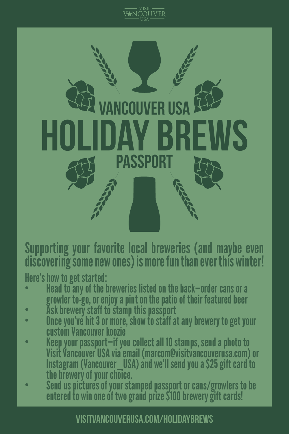



Supporting your favorite local breweries (and maybe even discovering some new ones) is more fun than ever this winter!

- Here's how to get started:<br>• Head to any of the breweries listed on the back—order cans or a growler to-go, or enjoy a pint on the patio of their featured beer<br>• Ask brewery staff to stamp this passport<br>• Once you've hit 3 or more, show to staff at any brewery to get your
- 
- 
- custom Vancouver koozie Keep your passport—if you collect all 10 stamps, send a photo to Visit Vancouver USA via email (marcom@visitvancouverusa.com) or Instagram (Vancouver\_USA) and we'll send you a \$25 gift card to
- the brewery of your choice. Send us pictures of your stamped passport or cans/growlers to be entered to win one of two grand prize \$100 brewery gift cards!